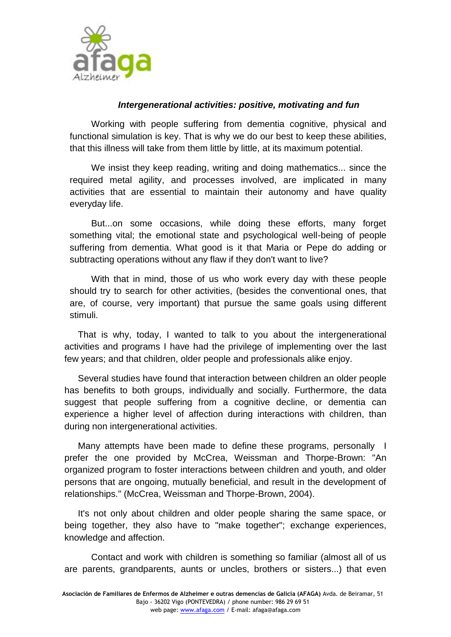

## *Intergenerational activities: positive, motivating and fun*

Working with people suffering from dementia cognitive, physical and functional simulation is key. That is why we do our best to keep these abilities, that this illness will take from them little by little, at its maximum potential.

We insist they keep reading, writing and doing mathematics... since the required metal agility, and processes involved, are implicated in many activities that are essential to maintain their autonomy and have quality everyday life.

But...on some occasions, while doing these efforts, many forget something vital; the emotional state and psychological well-being of people suffering from dementia. What good is it that Maria or Pepe do adding or subtracting operations without any flaw if they don't want to live?

With that in mind, those of us who work every day with these people should try to search for other activities, (besides the conventional ones, that are, of course, very important) that pursue the same goals using different stimuli.

That is why, today, I wanted to talk to you about the intergenerational activities and programs I have had the privilege of implementing over the last few years; and that children, older people and professionals alike enjoy.

Several studies have found that interaction between children an older people has benefits to both groups, individually and socially. Furthermore, the data suggest that people suffering from a cognitive decline, or dementia can experience a higher level of affection during interactions with children, than during non intergenerational activities.

Many attempts have been made to define these programs, personally I prefer the one provided by McCrea, Weissman and Thorpe-Brown: "An organized program to foster interactions between children and youth, and older persons that are ongoing, mutually beneficial, and result in the development of relationships." (McCrea, Weissman and Thorpe-Brown, 2004).

It's not only about children and older people sharing the same space, or being together, they also have to "make together"; exchange experiences, knowledge and affection.

Contact and work with children is something so familiar (almost all of us are parents, grandparents, aunts or uncles, brothers or sisters...) that even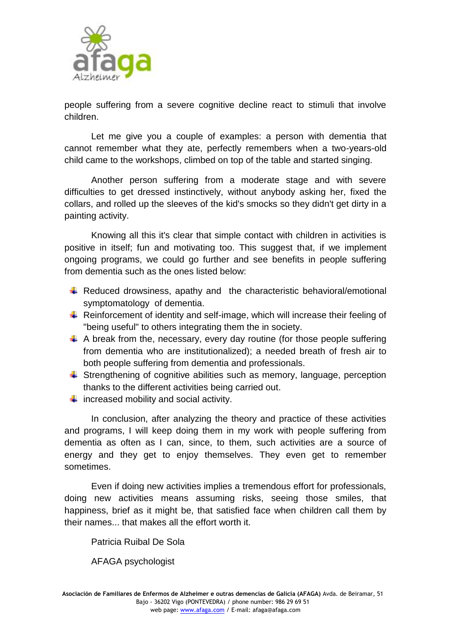

people suffering from a severe cognitive decline react to stimuli that involve children.

Let me give you a couple of examples: a person with dementia that cannot remember what they ate, perfectly remembers when a two-years-old child came to the workshops, climbed on top of the table and started singing.

Another person suffering from a moderate stage and with severe difficulties to get dressed instinctively, without anybody asking her, fixed the collars, and rolled up the sleeves of the kid's smocks so they didn't get dirty in a painting activity.

Knowing all this it's clear that simple contact with children in activities is positive in itself; fun and motivating too. This suggest that, if we implement ongoing programs, we could go further and see benefits in people suffering from dementia such as the ones listed below:

- $\downarrow$  Reduced drowsiness, apathy and the characteristic behavioral/emotional symptomatology of dementia.
- $\ddot{\phantom{1}}$  Reinforcement of identity and self-image, which will increase their feeling of "being useful" to others integrating them the in society.
- $\ddot{+}$  A break from the, necessary, every day routine (for those people suffering from dementia who are institutionalized); a needed breath of fresh air to both people suffering from dementia and professionals.
- $\ddot{+}$  Strengthening of cognitive abilities such as memory, language, perception thanks to the different activities being carried out.
- $\ddot{\bullet}$  increased mobility and social activity.

In conclusion, after analyzing the theory and practice of these activities and programs, I will keep doing them in my work with people suffering from dementia as often as I can, since, to them, such activities are a source of energy and they get to enjoy themselves. They even get to remember sometimes.

Even if doing new activities implies a tremendous effort for professionals, doing new activities means assuming risks, seeing those smiles, that happiness, brief as it might be, that satisfied face when children call them by their names that makes all the effort worth it.

Patricia Ruibal De Sola

AFAGA psychologist